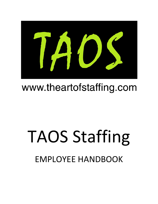

# www.theartofstaffing.com

# TAOS Staffing EMPLOYEE HANDBOOK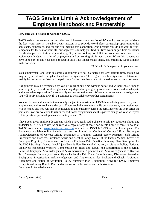# **TAOS Service Limit & Acknowledgement of Employee Handbook and Partnership**

#### **How long will I be able to work for TAOS?**

TAOS assists companies acquiring talent and job seekers securing "sensible" employment opportunities – the key word here is *"sensible"*. Our mission is to provide world class partnership opportunities for applicants, companies, and for our firm making this connection. And because you do not want to work temporary for the rest of your life, our objective is to help you find full time work or part time assistance for shorter periods of time. Quite simply, if you are looking for full time work we hope one of our assignments leads to an offer of employment and an exciting gig in your career. When this happens we have done our job and your job is to keep it until it no longer makes sense. You might say we're a match maker of sorts.

TAOS – Life time partner in your success!

Your employment and your customer assignments are not guaranteed for any definite time, though we may tell you estimated lengths of customer assignments. The length of each assignment is determined mainly by the customer. You will be paid only for the time that you work on assignment to our customers.

Assignments may be terminated by you or by us at any time without notice and without cause, though your eligibility for additional assignments may depend on you giving us advance notice and an adequate and acceptable explanation for voluntarily ending an assignment. When a customer ends an assignment, you will notify us right away if you continue to be available for further assignments.

Your work time and tenure is intentionally subject to a maximum of 1550 hours during your first year of employment and for each calendar year. If you reach the maximum while on assignment, your assignment will be ended and you will not be reassigned to any customer during the remainder of the year. After the year ends, you are welcome to return for additional assignments and this pattern can go on year after year if this part-time partnership makes sense to you and TAOS.

I have been given multiple documents which I have read, had a chance to ask any questions about, and understand. If I wish to review or receive a copy of any of these documents I am welcome to do so at TAOS' web site at [www.theartofstaffing.com](http://www.theartofstaffing.com/) – click on DOCUMENTS on the home page. The documents available online include, but are not limited to: Outline of Correct Lifting Technique, Acknowledgment of Correct Lifting Technique & Training, General Safety Practices, Safe Lifting Procedures and Practices, Substance Abuse and Alcohol Policy, Notice of the Family Medical Leave Act, Employee Eligibility Requirements to Receive Employer Paid Benefits, Summary Plan Description for the TAOS Staffing – Occupational Injury Benefit Plan, Notice of Mandatory Arbitration Policy, Notice to Employees concerning Workers' Compensation in Texas and TAOS' non-subscription to the program, Letter of Employee Acknowledgement & Authorization, Agreement and Acknowledgement to Receive Text Messages, Summary of Your Rights Under the Fair Trade Reporting Act, Disclosure Regarding Background Investigation, Acknowledgement and Authorization for Background Check, Arbitration Agreement and Notice of Arbitration Policy, Summary Plan Description (SPD) for TAOS' Employee Occupational Injury Benefit Plan, and other various information and authorizations. Employee Acknowledgement:

| Name (please print): |  | Date: |
|----------------------|--|-------|
|----------------------|--|-------|

(Employee signature)

 $\boldsymbol{\mathsf{X}}$  , and the set of the set of the set of the set of the set of the set of the set of the set of the set of the set of the set of the set of the set of the set of the set of the set of the set of the set of the s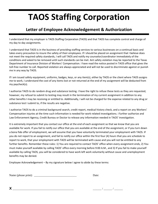# **TAOS Staffing Corporation**

### **Letter of Employee Acknowledgement & Authorization**

I understand that my employer is TAOS Staffing Corporation (TAOS) and that TAOS has complete control and charge of my day to day assignments.

I understand that TAOS is in the business of providing staffing services to various businesses on a continual basis and takes every precaution to insure the safety of their employees. If I should be placed on assignment that I believe does not meet the required safety standards, I will call TAOS and notify my counselor/coordinator immediately of the conditions and asked to be removed until such standards can be met. Ant safety violation may be reported to the Texas Department of Insurance Division of Workers' Compensation. I have read the notice posted in TAOS office that gives the toll-free number to call. Reported violation are always appreciated and will not be used to discriminate against or punish me in any way by TAOS.

If I am issued safety equipment, uniforms, badges, keys, or any item(s), either by TAOS or the client where TAOS assigns me to work, I understand the cost of any items lost or not returned at the end of my assignment will be deducted from my paycheck(s).

I authorize TAOS to do random drug and substance testing. I have the right to refuse these tests as they are requested, however, my refusal to submit to testing may result in the termination of my current assignment in addition to any other benefits I may be receiving or entitled to. Additionally, I will not be charged for the expense related to any drug or substance test I submit to, if the results are negative.

I authorize TAOS to do a criminal background search, credit report, medical history check, and a report on any Workers' Compensation injuries at the time such information is needed for work related investigations. I further authorize and Law Enforcement Agency, Credit Bureau or Doctor to release any information needed in TAOS' investigation.

It is extremely important that you contact our office at the end of each assignment so that we know that you are available for work. If you fail to notify our office that you are available at the end of the assignment, or if you turn down a bona fide offer of employment, we will assume that you have voluntarily terminated your employment with TAOS. IF you do not report to an assignment, and fail to notify our office within the first four (4) hours that you are schedule to report to work, that your employment with TAOS will be terminated with cause and you will not be entitled to any further benefits. Remember these rules: 1) You are required to contact TAOS' office when every assignment ends, 2) You must make yourself available by calling TAOS' office every morning before 9:00 A.M., and 3) If you fail to make yourself available by calling TAOS, you will be considered to have work left work voluntarily without cause and unemployment benefits may be denied.

Employee Acknowledgement – By my signature below I agree to abide by these terms:

Name (please print): \_\_\_\_\_\_\_\_\_\_\_\_\_\_\_\_\_\_\_\_\_\_\_\_\_\_\_\_\_\_ Date:

**X** \_\_\_\_\_\_\_\_\_\_\_\_\_\_\_\_\_\_\_\_\_\_\_\_\_\_\_\_\_\_\_\_\_\_\_\_\_\_\_\_\_\_\_ \_\_\_\_\_\_ / \_\_\_\_\_\_ / \_\_\_\_\_\_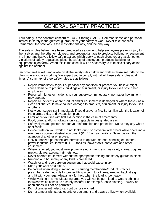# GENERAL SAFETY PRACTICES

Your safety is the constant concern of TAOS Staffing (TAOS). Common sense and personal interest in safety is the greatest guarantee of your safety at work. Never take chances. Remember, the safe way is the most efficient way, and the only way.

The safety rules below have been formulated as a guide to help employees prevent injury to themselves and the other employees, and prevent damage to products building, or equipment. It is important that you follow safe practices which apply to each client you are assigned to. Violations of safety regulations place the safety of employees, products, building, or equipment in jeopardy. When this is the case, it will be necessary to take disciplinary action against the offender.

Become familiar with and abide by all the safety rules below and well as those set forth by the client where you are working. We expect you to comply with all of these safety rules at all times. A summary of thee safety rules are as follows:

- Report immediately to your supervisor any condition or practice you believe might cause damage to products, buildings or equipment, or injury to yourself or to other employees.
- Report all injuries or incidents to your supervisor immediately, no matter how minor it may appear.
- Report all incidents where product and/or equipment is damaged or where there was a close call that could have caused damage to products, equipment, or injury to yourself or others.
- Notify your supervisor immediately if you discover a fire. Be familiar with the location of the alarms, exits, and evacuation plans.
- Familiarize yourself with first aid location in the case of emergency.
- Food, drink, and/or smoking is only acceptable in designated areas.
- Safety signs and posters are for your information and protection. Do as they say where applicable.
- Concentrate on your work. Do not lookaround or converse with others while operating a machine or power industrial equipment (P.I.E.) and/or /forklifts. Never distract the attention of another employee.<br>• Only authorized personnel are permitted to operate material handling equipment,
- power industrial equipment (P.I.E.), forklifts, power tools, conveyors and other equipment.
- Where required, you must wear protective equipment, such as safety shoes, goggles, masks, gloves, aprons, hair nets, etc.
- Never operate equipment without the appropriate training and safety quards in place.
- Running and horseplay of any kind is prohibited
- Watch for and report broken equipment that could cause injury.
- Keep your work area clean.
- Be careful when lifting, climbing, and carrying merchandise/product. Practice prescribed safe methods for proper lifting – bend tour knees, keeping back straignt, and lift with your legs. Always ask for help when the load is too heavy.
- While working in a manufacturing area, you will not be permitted to wear clothing or footwear which constitute a safety hazard. For example, loose clothing. Jewelry or open shoes will not be permitted.
- Do not tamper with electrical controls or switched.<br>• Do not tamper with safety quards or equipment an
- Do not tamper with safety guards or equipment and always utilize when available.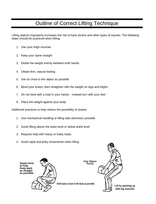# Outline of Correct Lifting Technique

Lifting objects improperly increases the risk of back strains and other types of injuries. The following steps should be practiced when lifting:

- 1. Use your thigh muscles
- 2. Keep your spine straight
- 3. Divide the weight evenly between both hands
- 4. Obtain firm, natural footing
- 5. Get as close to the object as possible
- 6. Bend your knees, then straighten with the weight on legs and thighs
- 7. Do not twist with a load in your hands instead turn with your feet
- 8. Place the weight against your body

Additional practices to help reduce the possibility of strains:

- 1. Use mechanical handling or lifting aids whenever possible
- 2. Avoid lifting above the waist level or below ankle level
- 3. Request help with heavy or bulky loads
- 4. Avoid rapid and jerky movements when lifting

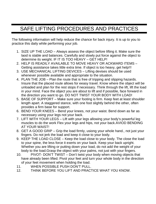# SAFE LIFTING PROCEDURES AND PRACTICES

The following information will help reduce the chance for back injury. It is up to you to practice this daily while performing your job.

- 1. SIZE UP THE LOAD Always assess the object before lifting it. Make sure the laod is stable and balances. Carefully and slowly put force against the object to determine its weight. IF IT IS TOO HEAVY - GET HELP!
- 2. HELP IS READILY AVAILABLE TO MOVE HEAVY OR ACKWARD ITEMS Getting assistance takes little extra time. If object is too heavy, get help!!!
- 3. USE MECHANICAL LIFTING DEVICES Lifting devises should be used whenever possible available and appropriate to the situation.
- 4. PLAN THE JOB Plan the route that is free of tripping and slipping hazards. Insure that the placed route allows for eeasy travel. Know where the object will be unloaded and plan for the rest stops if necessary. Think through the lift, lift the load in your mind. Face the object you are about to lift and if possible, face forward in the direction you want to go. DO NOT TWIST YOUR BODY WITH LOAD!
- 5. BASE OF SUPPORT Make sure your footing is firm. Keep feet at least shoulder length apart. A staggered stance, with one foot slightly behind the other, often provides a firm base for support.
- 6. BEND YOUR KNEES Bend your knees, not your waist. Bend down as far as necessary using your legs not your back.
- 7. LIFT WITH YOUR LEGS Lift with your legs allowing your body's powerful leg muscles to do the work Flex your legs and hips, not your back.AVIOD BENDING AT YOUR WAIST!
- 8. GET A GOOD GRIP Grip the load firmly, usiong your whole hand., not just your fingers. Do not jerk the load and keep it close to your body.
- 9. KEEP THE LOAD CLOSE Keep the load close to your body. The close the load to your spine, the less force it exerts on your back. Keep your back upright. Whether you are lifting or putting down your load, do not add the weight of your body to the load.Grasp the object with your palms, not just with your fingers.
- 10. PIVOT- DON'T TWIST Don't twist your body when moving objects that have already been lifted. Pivot your feet and turn your whole body in the direction of your feet movement when holding the load.
- 11. WHEN POSSIBLE PUSH DON'T PULL.
- 12. THINK BEFORE YOU LIFT AND PRACTICE WHAT YOU KNOW.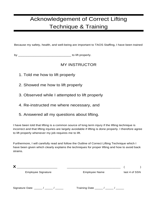# Acknowledgement of Correct Lifting Technique & Training

Because my safety, health, and well-being are important to TAOS Staffing, I have been trained

by \_\_\_\_\_\_\_\_\_\_\_\_\_\_\_\_\_\_\_\_\_\_\_\_\_\_\_\_\_\_\_ to lift properly.

#### MY INSTRUCTOR

- 1. Told me how to lift properly
- 2. Showed me how to lift properly
- 3. Observed while I attempted to lift properly
- 4. Re-instructed me where necessary, and
- 5. Answered all my questions about lifting.

I have been told that lifting is a common source of long term injury if the lifting technique is incorrect and that lifting injuries are largely avoidable if lifting is done properly. I therefore agree to lift properly whenever my job requires me to lift.

Furthermore, I will carefully read and follow the Outline of Correct Lifting Technique which I have been given which clearly explains the techniques for proper lifting and how to avoid back strains.

| X                                  |                                    |               |
|------------------------------------|------------------------------------|---------------|
| <b>Employee Signature</b>          | <b>Employee Name</b>               | last 4 of SSN |
|                                    |                                    |               |
| Signature Date _____/ ____/ ______ | Training Date _____/ _____/ ______ |               |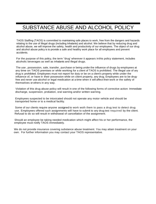# SUBSTANCE ABUSE AND ALCOHOL POLICY

TAOS Staffing (TAOS) is committed to maintaining safe places to work, free from the dangers and hazards relating to the use of illegal drugs (including Inhalants) and alcohol. We believe that by reducing drug and alcohol abuse, we will improve the safety, health and productivity of our employees. The object of our drug and alcohol abuse policy is to provide a safe and healthy work place for all employees and prevent accidents.

For the purpose of this policy, the term "drug' wherever it appears in this policy statement, includes alcoholic beverages as well as inhalants and illegal drugs.

The use , possession, sale, transfer, purchase or being under the influence of drugs by employees at any time on TAOS premises or while working for a client of TAOS is prohibited. The illegal use of any drug is prohibited. Employees must not report for duty or be on a client's property while under the influence of, or have in their possession while on client property, any drug. Employees are to be drugfree and never use alcohol or legal medication at a time when it will affect their work or the safety of themselves or others in any way.

Violation of this drug abuse policy will result in one of the following forms of corrective action: Immediate discharge, suspension, probation, oral warning and/or written warning.

Employees suspected to be intoxicated should not operate any motor vehicle and should be transported home or to a medical facility.

Some of our clients require anyone assigned to work woth them to pass a drug test to detect drug use. Employees offered such assignments will have to submit to any drug test required by the client. Refusal to do so will result in withdrawal of cancellation of the assignment.

Should an employee be taking needed medication which might affect his or her performance, the employee must notify TAOS immediately.

We do not provide insurance covering substance abuse treatment. You may attain treatment on your own. For further information you may contact your TAOS representative.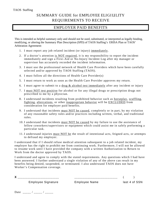#### SUMMARY GUIDE for EMPLOYEE ELIGILLITY REQUIREMENTS TO RECEIVE

#### EMPLOYER PAID BENEFITS

This is intended as helpful summary only and should not be used, substituted, or interpreted as legally binding, modifying, or altering the Summary Plan Description (SPD) of TAOS Staffing's ERISA Plan or TAOS' Arbitration Agreement:

- 1. I must report any job related incident (or injury) immediately.
- 2. If a doctor's attention is NOT required, it is my responsibility to report the incident immediately and sign a First–Aid or No-Injury Incident Log after my manager or supervisor has accurately recorded the incident information.
- 3. I must use the professional network of Health Care Providers which have been carefully selected and/or approved by TAOS Staffing (TAOS).
- 4. I must follow all the directions of Health Care Provider(s)
- 5. I must return to work as soon as the Health Care Provider approves my return.
- 6. I must agree to submit to a drug & alcohol test immediately after any incident or injury
- 7. I must NOT test positive for alcohol or for any illegal drugs or prescription drugs not prescribed to me by a physician.
- 8. I understand incidents resulting from prohibited behavior such as horseplay, scuffling, fighting, altercations, or other inappropriate behavior will be EXCLUDED from consideration for employer paid benefits.
- 9. I understand that incidents must NOT be caused, completely or in part, by my violation of any reasonable safety rules and/or practices including written, verbal, and traditional rules.
- 10. I understand that incidents must NOT be caused by my failure to use the assistance of fellow coworkers/supervisors or equipment which could assist me in safely preforming a particular task.
- 11. I understand injuries must NOT be the result of intentional acts, feigned acts, or attempts to defraud my employer.

I understand that if I should refuse medical attention subsequent to a job related incident, my employer has the right to prohibit me from continuing work. Furthermore, I will not be allowed to resume work until I have provided the company with a written Authorization to Return to Work from the doctor approved by TAOS.

I understand and agree to comply with the stated requirements. Any questions which I had have been answered. I further understand a single violation of any of the above can result in my benefits being denied, suspended, or terminated. I also understand TAOS does not have Worker's Compensation coverage.

| л |                    |               |               |
|---|--------------------|---------------|---------------|
|   | Employee Signature | Employee Name | last 4 of SSN |

Date  $\frac{1}{2}$  /  $\frac{1}{2}$  /  $\frac{1}{2}$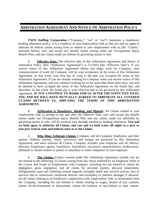#### **ARBITRATION AGREEMENT AND NOTICE OF ARBITRATION POLICY**

**TAOS Staffing Corporation** ("Company," "we" or "our") maintains a mandatory binding arbitration policy. It is a condition of your employment with us that you and we agree to arbitrate all arbitral claims arising from or related to your employment with us (the "Claims," itemized below), save and except any benefit claims arising under our Occupational Injury Benefit Plan, and any claims made not arbitral by governing statute or rule.

**1. Effective Date:** The effective date of this Arbitration Agreement and Notice of Arbitration Policy (this "Arbitration Agreement") is 5/1/2014 (the "Effective Date"). If you receive notice of this Arbitration Agreement before you begin work for Company, your commencement of work for Company will be your acceptance of the terms of this Arbitration Agreement. In that event, your first day of work is the date you accepted the terms of this Arbitration Agreement. If you are already working for Company when you receive notice of this Arbitration Agreement, and you continue working for us for more than three more days, you will be deemed to have accepted the terms of this Arbitration Agreement on the fourth day, and thereafter. In that event, the fourth day is your effective date to be governed by this Arbitration Agreement. **IF YOU CONTINUE TO WORK FOR US AFTER THE EFFECTIVE DATE, YOU AND WE WILL HAVE MUTUALLY AGREED TO ARBITRATE ALL COVERED CLAIMS BETWEEN US, APPLYING THE TERMS OF THIS ARBITRATION AGREEMENT.**

**2. Arbitration is Mandatory, Binding, and Mutual:** All Claims related to your employment with us arising in any part after the Effective Date, save and except any benefit claims under our Occupational Injury Benefit Plan and any claims made not arbitrable by governing statute or rule, will be resolved only through mandatory binding arbitration. **You and we both agree to arbitrate all Claims, and you and we both waive all rights to a jury or non-jury trial in state and federal court as to the Claims.**

3. **Who Must Arbitrate Claims:** Company and all Company Employees and their spouse, children, parents, estate, successors and assigns are governed by this Arbitration Agreement, and must arbitrate all Claims. Company includes your employer and all officers, directors, Employees, agents, franchisors, franchisees, successors, representatives, predecessors, affiliated or related entities or parent or subsidiary or sister companies of your employer.

4. **The Claims:** Claims covered under this Arbitration Agreement include, but are not limited to the following: (i) claims arising from any injury suffered by an Employee while in the Course and Scope of Employment with Company, including but not limited to claims for negligence, gross negligence, and all claims for personal injuries, physical impairment, disfigurement, pain and suffering, mental anguish, wrongful death and survival actions, loss of services and or consortium, emotional distress, and exemplary or punitive damages if allowed; (ii) all claims relating to an Employee's application with, employment with, or termination from the Company, including but not limited to claims relating to wages, breach of any contract, claims for discrimination or harassment; claims for violation of any federal or state statute,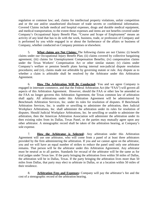regulation or common law; and, claims for intellectual property violations, unfair competition and or the use and/or unauthorized disclosure of trade secrets or confidential information. Covered Claims include medical and hospital expenses, drugs and durable medical equipment, and medical transportation, to the extent those expenses and items are not benefits covered under Company's Occupational Injury Benefit Plan. "Course and Scope of Employment" means an activity of any kind that has to do with the work, business, trade, or profession of Company and is performed by you while engaged in or about the furtherance of the affairs or business of Company, whether conducted on Company premises or elsewhere.

5. **What claims are Not Claims:** The following claims are not Claims: (i) benefit claims under our Occupational Injury Benefit Plan; (ii) claims covered by collective bargaining agreement; (iii) claims for Unemployment Compensation Benefits; (iv) compensation claims under the Texas Workers' Compensation Act or other similar statute; (v) claims under Company's welfare or pension benefit plans having internal non-judicial dispute resolution procedures; and (vi), claims made not arbitrable by governing statute or rule. Any dispute as to whether a claim is arbitrable shall be resolved by the Arbitrator under this Arbitration Agreement.

6. **How The Arbitration Will Be Conducted:** You and we agree Company is engaged in interstate commerce, and that the Federal Arbitration Act (the "FAA") will govern all aspects of this Arbitration Agreement. However, should the FAA or other law be amended so the FAA no longer governs this Arbitration Agreement, the Texas common law of arbitration shall apply. All arbitrations under this Arbitration Agreement will be administered by Benchmark Arbitration Services, Inc. under its rules for resolution of disputes. If Benchmark Arbitration Services, Inc. is unable or unwilling to administer the arbitration, then Judicial Workplace Arbitrations, Inc. shall administer the arbitration under its rules for resolution of disputes. Should Judicial Workplace Arbitrations, Inc. be unwilling or unable to administer the arbitration, then the American Arbitration Association will administer the arbitration under its then existing rules from its Dallas, Texas Panel, or the parties may mutually agree upon any other arbitrator. A stenographic record shall be taken of the arbitration hearing, at Company's sole expense.

7. **How the Arbitrator is Selected:** Any arbitration under this Arbitration Agreement will use one arbitrator, who will come from a panel of at least three arbitrators provided by the firm administering the arbitration. If you and we cannot agree on the arbitrator, you and we will have an equal number of strikes to reduce the panel until only one arbitrator remains. That person will be the arbitrator under this Arbitration Agreement. Any arbitrator must be neutral as to all parties. Standards for recusal of the arbitrator will be the same as for trial judges under Texas law. If the party bringing the arbitration lives within 50 miles of Dallas, the arbitration will be in Dallas, Texas. If the party bringing the arbitration lives more than 50 miles from Dallas, that party may elect to arbitrate in Dallas, or at a location within 50 miles of their residence.

8. **Arbitration Fees and Expenses:** Company will pay the arbitrator's fee and the cost of a stenographic record of the arbitration hearing.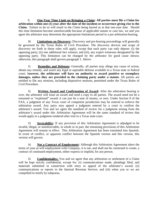9. **One-Year Time Limit on Bringing a Claim: All parties must file a Claim for arbitration within one (1) year after the date of the incident or occurrence giving rise to the Claim.** Failure to do so will result in the Claim being barred as at that one-year date. Should this time limitation become unenforceable because of applicable statute or case law, we and you agree the arbitrator may determine the appropriate limitations period in a pre-arbitration hearing,

10. **Limitations on Discovery:** Discovery and pre-hearing proceedings will generally be governed by the Texas Rules of Civil Procedure. The discovery devices and scope of discovery set forth in those rules will apply, except that each party can only depose: (i) the opposing party; (ii) one additional fact witness; and (iii), any expert witnesses designated by the opposing party. This limitation can be changed by the arbitrator for good cause shown; otherwise, this paragraph shall govern paragraph 1. Above.

11. **Remedies and Defenses:** Generally, all parties may allege any cause of action, obtain any remedy, and assert any legal or equitable defense available in a Texas state or federal court; h**owever, the arbitrator will have no authority to award punitive or exemplary damages, unless they are provided to the claiming party under a statute.** All parties are entitled to file any motions, including dispositive motions, permitted under the Texas Rules of Civil Procedure.

12. **Written Award and Confirmation of Award:** After the arbitration hearing is over, the arbitrator will issue an award and send a copy to all parties. The award need not be a reasoned or "explained" award; it can just be a sum of money, or zero. Under Section 9 of the FAA, a judgment of any Texas court of competent jurisdiction may be entered to enforce the arbitration award. Any party may appeal a judgment entered by a court to confirm the arbitrator's award. You and we agree the standard of review for a judgment arising from the arbitrator's award under this Arbitration Agreement will be the same standard of review that would apply to a judgment rendered after trial in a Texas state court.

13. **Severability:** If any provision of this Arbitration Agreement is adjudged to be invalid, illegal, or unenforceable, in whole or in part, the remaining provisions of this Arbitration Agreement will remain in effect. This Arbitration Agreement has been translated into Spanish. In event of conflict, or apparent conflict between the Spanish version and this version, this version will govern.

14. **Not a Contract of Employment:** Although this Arbitration Agreement alters the terms of your at-will employment with Company, it is not, and shall not be construed to create, a contract of continued employment, either express or implied, for any person.

15. **Confidentiality:** You and we agree that any arbitration or settlement of a Claim will be kept strictly confidential, except for: (i) communications made, pleadings filed, and materials submitted in connection with entry or appeal of the arbitrator's award; (ii) communications or reports to the Internal Revenue Service; and (iii) when you or we are compelled to testify by subpoena.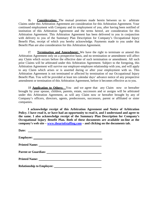16. **Consideration:** The mutual promises made herein between us to arbitrate Claims under this Arbitration Agreement are consideration for this Arbitration Agreement. Your continued employment with Company and its employment of you, after having been notified of institution of this Arbitration Agreement and the terms hereof, are consideration for this Arbitration Agreement. This Arbitration Agreement has been delivered to you in conjunction with delivery to you of the Summary Plan Description for Company's Occupational Injury Benefit Plan, receipt of which you hereby acknowledge. Payments made to you under that Benefit Plan are also consideration for this Arbitration Agreement.

17. **Termination and Amendment:** We have the right to terminate or amend this Arbitration Agreement only on a prospective basis, and no termination or amendment will affect any Claim which occurs before the effective date of such termination or amendment. All such prior Claims will be arbitrated under this Arbitration Agreement. Subject to the foregoing, this Arbitration Agreement will survive our employer-employee relationship with you, and will apply to any Claim which arises or is asserted during or after your employment with us. This Arbitration Agreement is not terminated or affected by termination of our Occupational Injury Benefit Plan. You will be provided at least ten calendar days' advance notice of any prospective amendment or termination of this Arbitration Agreement, before it becomes effective as to you.

18 **Application to Others:** You and we agree that any Claim now or hereafter brought by your spouse, children, parents, estate, successors and or assigns will be arbitrated under this Arbitration Agreement, as will any Claim now or hereafter brought by any of Company's officers, directors, agents, predecessors, successors, parent or affiliated or sister companies.

**I acknowledge receipt of this Arbitration Agreement and Notice of Arbitration Policy. I have read it, or have had an opportunity to read it, and I understand and agree to the same. I also acknowledge receipt of the Summary Plan Description for Company's Occupational Injury Benefit Plan. Both of these documents are available on-line at the company's web site – [www.theartofstaffing.com](http://www.theartofstaffing.com/) – and clicking on the documents tab.**

| Date:                            |
|----------------------------------|
|                                  |
|                                  |
|                                  |
|                                  |
| <b>Relationship to Employee:</b> |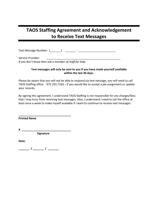## **TAOS Staffing Agreement and Acknowledgement to Receive Text Messages**

Text Message Number: (\_\_\_\_\_\_\_) \_\_\_\_\_\_\_ - \_\_\_\_\_\_\_\_\_\_\_\_\_\_\_\_\_\_\_\_\_\_\_\_

Service Provider:

*If you don't know then ask a member of staff for help.*

#### **Text messages will only be sent to you if you have made yourself available within the last 30 days.**

Please be aware that you will not be able to respond via text message, you will need to call TAOS Staffing office - 972.255.7150 – if you would like to accept a job assignment or update your records.

By signing this agreement, I understand TAOS Staffing is not responsible for any charges/fees that I may incur from receiving text messages. Also, I understand I need to call the office at least once a week to make myself available if I want to continue to receive text messages.

**Printed Name** 

**X \_\_\_\_\_\_\_\_\_\_\_\_\_\_\_\_\_\_\_\_\_\_\_\_\_\_\_\_\_\_\_\_**

**Signature**

**\_\_\_\_\_\_\_\_\_\_\_\_\_\_\_\_\_\_\_\_\_\_\_\_\_\_\_\_\_\_\_\_\_\_**

**Date:**

**\_\_\_\_\_\_\_ / \_\_\_\_\_\_\_ / \_\_\_\_\_\_\_**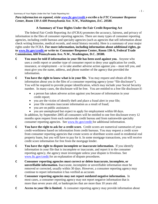*Para informacion en espanol, visite [www.ftc.gov/credit o](http://www.ftc.gov/credit) escribe a la FTC Consumer Response Center, Room 130-A 600 Pennsylvania Ave. N.W., Washington, D.C. 20580.*

#### **A Summary of Your Rights Under the Fair Credit Reporting Act**

The federal Fair Credit Reporting Act (FCRA) promotes the accuracy, fairness, and privacy of information in the files of consumer reporting agencies. There are many types of consumer reporting agencies, including credit bureaus and specialty agencies (such as agencies that sell information about check writing histories, medical records, and rental history records). Here is a summary of your major rights under the FCRA. **For more information, including information about additional rights, go to [www.ftc.gov/credit o](http://www.ftc.gov/credit)r write to: Consumer Response Center, Room 130-A, Federal Trade Commission, 600 Pennsylvania Ave. N.W., Washington, D.C. 20580.**

- **C You must be told if information in your file has been used against you.** Anyone who uses a credit report or another type of consumer report to deny your application for credit, insurance, or employment – or to take another adverse action against you – must tell you, and must give you the name, address, and phone number of the agency that provided the information.
- **C You have the right to know what is in your file.** You may request and obtain all the information about you in the files of a consumer reporting agency (your "file disclosure"). You will be required to provide proper identification, which may include your Social Security number. In many cases, the disclosure will be free. You are entitled to a free file disclosure if:
	- a person has taken adverse action against you because of information in your credit report;
	- you are the victim of identify theft and place a fraud alert in your file;
	- your file contains inaccurate information as a result of fraud;
	- you are on public assistance;
	- you are unemployed but expect to apply for employment within 60 days.

In addition, by September 2005 all consumers will be entitled to one free disclosure every 12 months upon request from each nationwide credit bureau and from nationwide specialty consumer reporting agencies. See [www.ftc.gov/credit f](http://www.ftc.gov/credit)or additional information.

- **C You have the right to ask for a credit score.** Credit scores are numerical summaries of your credit-worthiness based on information from credit bureaus. You may request a credit score from consumer reporting agencies that create scores or distribute scores used in residential real property loans, but you will have to pay for it. In some mortgage transactions, you will receive credit score information for free from the mortgage lender.
- **C You have the right to dispute incomplete or inaccurate information.** If you identify information in your file that is incomplete or inaccurate, and report it to the consumer reporting agency, the agency must investigate unless your dispute is frivolous. See [www.ftc.gov/credit f](http://www.ftc.gov/credit)or an explanation of dispute procedures.
- **C Consumer reporting agencies must correct or delete inaccurate, incomplete, or unverifiable information.** Inaccurate, incomplete or unverifiable information must be removed or corrected, usually within 30 days. However, a consumer reporting agency may continue to report information it has verified as accurate.
- **C Consumer reporting agencies may not report outdated negative information.** In most cases, a consumer reporting agency may not report negative information that is more than seven years old, or bankruptcies that are more than 10 years old.
- **C Access to your file is limited.** A consumer reporting agency may provide information about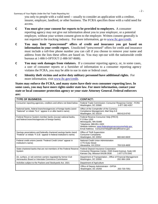Summary of Your Rights Under the Fair Trade Reporting Act

you only to people with a valid need -- usually to consider an application with a creditor, insurer, employer, landlord, or other business. The FCRA specifies those with a valid need for access.

- **C You must give your consent for reports to be provided to employers.** A consumer reporting agency may not give out information about you to your employer, or a potential employer, without your written consent given to the employer. Written consent generally is not required in the trucking industry. For more information, go to [www.ftc.gov/credit.](http://www.ftc.gov/credit)
- **C You may limit "prescreened" offers of credit and insurance you get based on information in your credit report.** Unsolicited "prescreened" offers for credit and insurance must include a toll-free phone number you can call if you choose to remove your name and address from the lists these offers are based on. You may opt-out with the nationwide credit bureaus at 1-888-5-OPTOUT (1-888-567-8688).
- **C You may seek damages from violators.** If a consumer reporting agency, or, in some cases, a user of consumer reports or a furnisher of information to a consumer reporting agency violates the FCRA, you may be able to sue in state or federal court.
- **C Identity theft victims and active duty military personnel have additional rights.** For more information, visit [www.ftc.gov/credit.](http://www.ftc.gov/credit)

**States may enforce the FCRA, and many states have their own consumer reporting laws. In some cases, you may have more rights under state law. For more information, contact your state or local consumer protection agency or your state Attorney General. Federal enforcers are:**

| <b>TYPE OF BUSINESS:</b>                                                                                                                 | <b>CONTACT:</b>                                                                                                                                                                                                   |  |
|------------------------------------------------------------------------------------------------------------------------------------------|-------------------------------------------------------------------------------------------------------------------------------------------------------------------------------------------------------------------|--|
| Consumer reporting agencies, creditors and others not listed below                                                                       | Federal Trade Commission: Consumer Response Center - FCRA<br>Washington, DC 20580<br>1-877-382-4357                                                                                                               |  |
| National banks, federal branches/agencies of foreign banks (word<br>"National" or initials "N.A." appear in or after bank's name)        | Office of the Comptroller of the Currency<br>Compliance Management, Mail Stop 6-6<br>Washington, DC 20219<br>800-613-6743                                                                                         |  |
| Federal Reserve System member banks (except national banks,<br>and federal branches/agencies of foreign banks)                           | Federal Reserve Consumer Help (FRCH)<br>P O Box 1200<br>Minneapolis, MN 55480<br>Telephone: 888-851-1920<br>Website Address: www.federalreserveconsumerhelp.gov<br>Email Address: ConsumerHelp@FederalReserve.gov |  |
| Savings associations and federally chartered savings banks (word<br>"Federal" or initials "F.S.B." appear in federal institution's name) | Office of Thrift Supervision<br><b>Consumer Complaints</b><br>Washington, DC 20552<br>800-842-6929                                                                                                                |  |
| Federal credit unions (words "Federal Credit Union" appear in<br>institution's name)                                                     | National Credit Union Administration<br>1775 Duke Street<br>703-519-4600<br>Alexandria, VA 22314                                                                                                                  |  |
| State-chartered banks that are not members of the Federal Reserve<br>System                                                              | Federal Deposit Insurance Corporation<br>Consumer Response Center, 2345 Grand Avenue, Suite 100<br>Kansas City, Missouri 64108-2638<br>1-877-275-3342                                                             |  |
| Air, surface, or rail common carriers regulated by former Civil<br>Aeronautics Board or Interstate Commerce Commission                   | Department of Transportation, Office of Financial Management<br>Washington, DC 20590<br>202-366-1306                                                                                                              |  |
| Activities subject to the Packers and Stockyards Act, 1921                                                                               | Department of Agriculture                                                                                                                                                                                         |  |
|                                                                                                                                          | Office of Deputy Administrator - GIPSA<br>Washington, DC 20250<br>202-720-7051                                                                                                                                    |  |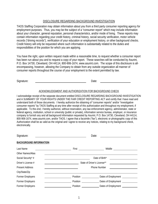#### DISCLOSURE REGARDING BACKGROUND INVESTIGATION

TAOS Staffing Corporation may obtain information about you from a third party consumer reporting agency for employment purposes. Thus, you may be the subject of a "consumer report" which may include information about your character, general reputation, personal characteristics, and/or mode of living. These reports may contain information regarding your credit history, criminal history, social security verification, motor vehicle records ("driving records"), verification of your education or employment history, or other background checks. Credit history will only be requested where such information is substantially related to the duties and responsibilities of the position for which you are applying.

You have the right, upon written request made within a reasonable time, to request whether a consumer report has been run about you and to request a copy of your report. These searches will be conducted by Asurint, P.O. Box 14730, Cleveland, OH 44114, 800-906-1674, www.asurint.com. The scope of this disclosure is allencompassing, however, allowing the Company to obtain from any outside organization all manner of consumer reports throughout the course of your employment to the extent permitted by law.

Signature: Date: Date: Date: Date: Date: Date: Date: Date: Date: Date: Date: Date: Date: Date: Date: Date: Date: Date: Date: Date: Date: Date: Date: Date: Date: Date: Date: Date: Date: Date: Date: Date: Date: Date: Date: D

#### ACKNOWLEDGMENT AND AUTHORIZATION FOR BACKGROUND CHECK

I acknowledge receipt of the separate document entitled DISCLOSURE REGARDING BACKGROUND INVESTIGATION and A SUMMARY OF YOUR RIGHTS UNDER THE FAIR CREDIT REPORTING ACT and certify that I have read and understand both of those documents. I hereby authorize the obtaining of "consumer reports" and/or "investigative consumer reports" by TAOS Staffing at any time after receipt of this authorization and throughout my employment, if applicable. To this end, I hereby authorize, without reservation, any law enforcement agency, administrator, state or federal agency, institution, school or university (public or private), information service bureau, employer, or insurance company to furnish any and all background information requested by Asurint, P.O. Box 14730, Cleveland, OH 44114, 800-906-1674, www.asurint.com, and/or TAOS. I agree that a facsimile ("fax"), electronic or photographic copy of this Authorization shall be as valid as the original and I agree to receive any notices, relating to my background check, electronically.

| Signature:                    | Date:                          |                               |  |
|-------------------------------|--------------------------------|-------------------------------|--|
| <b>BACKGROUND INFORMATION</b> |                                |                               |  |
| Last Name                     | First ________________________ | Middle <b>Middle Middle</b>   |  |
| <b>Other Names/Alias</b>      |                                |                               |  |
| Social Security* #            |                                | Date of Birth*                |  |
| Driver's License #            | State of Driver's License**    |                               |  |
| <b>Present Address</b>        | Phone Number                   |                               |  |
| City/State/Zip                |                                |                               |  |
| Former Employers              | <b>Position</b>                | Dates of Employment _________ |  |
| Former Employers              | Position                       |                               |  |
| Former Employers              | Position                       | Dates of Employment           |  |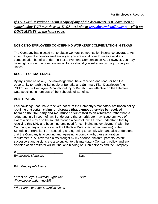#### *If YOU wish to review or print a copy of any of the documents YOU have seen or signed today YOU may do so at TAOS' web site at [www.theartofstaffing.com](http://www.theartofstaffing.com/) – click on DOCUMENTS on the home page.*

#### **NOTICE TO EMPLOYEES CONCERNING WORKERS' COMPENSATION IN TEXAS**

The Company has elected not to obtain workers' compensation insurance coverage. As an employee of a non-covered employer, you are not eligible to receive workers' compensation benefits under the Texas Workers' Compensation Act. However, you may have rights under the common law of Texas should you suffer an on the job injury or illness.

#### **RECEIPT OF MATERIALS**

By my signature below, I acknowledge that I have received and read (or had the opportunity to read) the Schedule of Benefits and Summary Plan Description (the "SPD") for the Employee Occupational Injury Benefit Plan, effective on the Effective Date specified in Item 2(a) of the Schedule of Benefits.

#### **ARBITRATION**

I acknowledge that I have received notice of the Company's mandatory arbitration policy requiring that certain **claims or disputes (that cannot otherwise be resolved between the Company and me) must be submitted to an arbitrator**, rather than a judge and jury in court of law. I understand that an arbitrator may issue any type of award which may also be sought through a court of law. I further understand that by receiving this SPD and becoming employed (or continuing my employment) with the Company at any time on or after the Effective Date specified in Item 2(a) of the Schedule of Benefits, I am accepting and agreeing to comply with, and also understand that the Company is accepting and agreeing to comply with, these arbitration requirements. All covered claims brought by my spouse, children, parents, estate, successors and assigns are also subject to this mandatory Company policy, and any decision of an arbitrator will be final and binding on such persons and the Company.

| Χ                           |      |  |
|-----------------------------|------|--|
| <b>Employee's Signature</b> | Date |  |

*\_\_\_\_\_\_\_\_\_\_\_\_\_\_\_\_\_\_\_\_\_\_\_\_\_\_\_ Print Employee's Name.*

*\_\_\_\_\_\_\_\_\_\_\_\_\_\_\_\_\_\_\_\_\_\_\_\_\_\_\_ \_\_\_\_\_\_\_\_\_\_\_\_\_\_\_\_\_\_\_ Parent or Legal Guardian Signature Date (if employee under age 18)*

*\_\_\_\_\_\_\_\_\_\_\_\_\_\_\_\_\_\_\_\_\_\_\_\_\_\_\_ Print Parent or Legal Guardian Name*